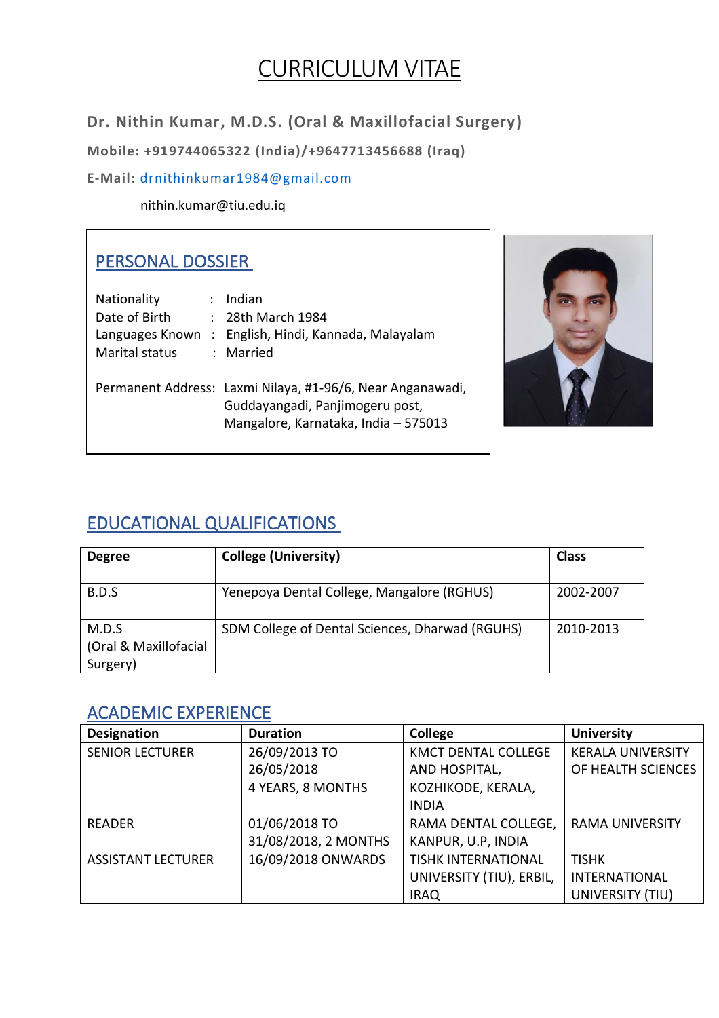# CURRICULUM VITAE

### **Dr. Nithin Kumar, M.D.S. (Oral & Maxillofacial Surgery)**

**Mobile: +919744065322 (India)/+9647713456688 (Iraq)**

#### **E-Mail:** [drnithinkumar1984@gmail.com](mailto:drnithinkumar1984@gmail.com)

nithin.kumar@tiu.edu.iq

## PERSONAL DOSSIER

| Nationality<br>Date of Birth<br>Languages Known<br><b>Marital status</b> |  | Indian<br>: 28th March 1984<br>: English, Hindi, Kannada, Malayalam<br>: Married                                                      |
|--------------------------------------------------------------------------|--|---------------------------------------------------------------------------------------------------------------------------------------|
|                                                                          |  | Permanent Address: Laxmi Nilaya, #1-96/6, Near Anganawadi,<br>Guddayangadi, Panjimogeru post,<br>Mangalore, Karnataka, India - 575013 |



## EDUCATIONAL QUALIFICATIONS

| <b>Degree</b>                              | <b>College (University)</b>                     | <b>Class</b> |
|--------------------------------------------|-------------------------------------------------|--------------|
| B.D.S                                      | Yenepoya Dental College, Mangalore (RGHUS)      | 2002-2007    |
| M.D.S<br>(Oral & Maxillofacial<br>Surgery) | SDM College of Dental Sciences, Dharwad (RGUHS) | 2010-2013    |

### ACADEMIC EXPERIENCE

| <b>Designation</b>        | <b>Duration</b>      | College                    | <b>University</b>        |
|---------------------------|----------------------|----------------------------|--------------------------|
| <b>SENIOR LECTURER</b>    | 26/09/2013 TO        | <b>KMCT DENTAL COLLEGE</b> | <b>KERALA UNIVERSITY</b> |
|                           | 26/05/2018           | AND HOSPITAL,              | OF HEALTH SCIENCES       |
|                           | 4 YEARS, 8 MONTHS    | KOZHIKODE, KERALA,         |                          |
|                           |                      | <b>INDIA</b>               |                          |
| <b>READER</b>             | 01/06/2018 TO        | RAMA DENTAL COLLEGE,       | <b>RAMA UNIVERSITY</b>   |
|                           | 31/08/2018, 2 MONTHS | KANPUR, U.P, INDIA         |                          |
| <b>ASSISTANT LECTURER</b> | 16/09/2018 ONWARDS   | <b>TISHK INTERNATIONAL</b> | <b>TISHK</b>             |
|                           |                      | UNIVERSITY (TIU), ERBIL,   | INTERNATIONAL            |
|                           |                      | <b>IRAQ</b>                | UNIVERSITY (TIU)         |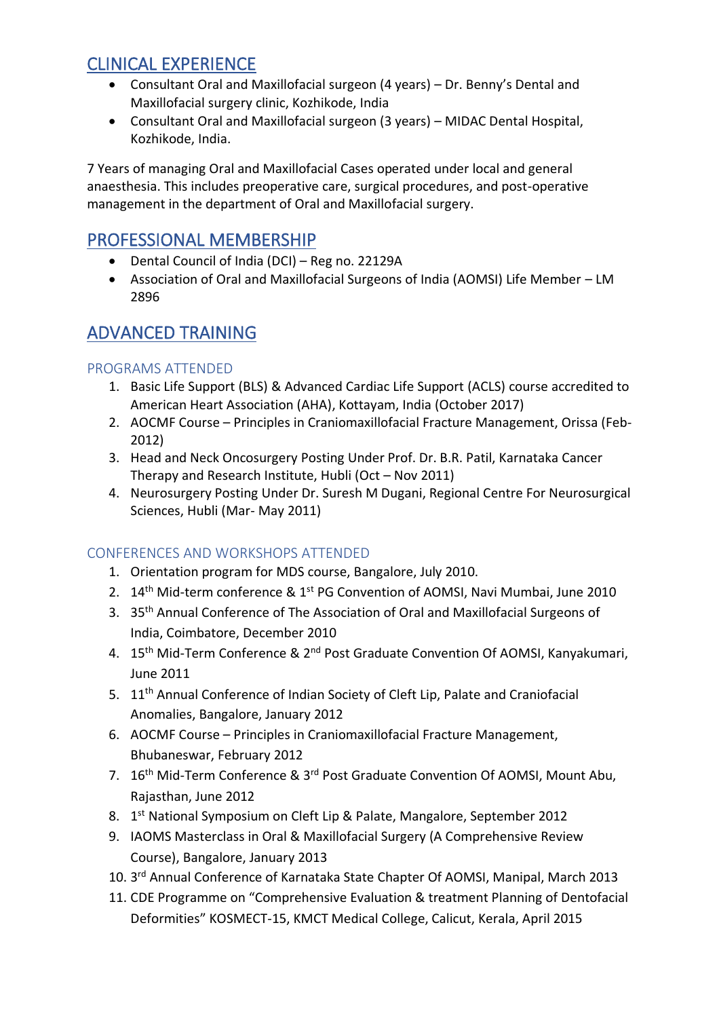## CLINICAL EXPERIENCE

- Consultant Oral and Maxillofacial surgeon (4 years) Dr. Benny's Dental and Maxillofacial surgery clinic, Kozhikode, India
- Consultant Oral and Maxillofacial surgeon (3 years) MIDAC Dental Hospital, Kozhikode, India.

7 Years of managing Oral and Maxillofacial Cases operated under local and general anaesthesia. This includes preoperative care, surgical procedures, and post-operative management in the department of Oral and Maxillofacial surgery.

### PROFESSIONAL MEMBERSHIP

- Dental Council of India (DCI) Reg no. 22129A
- Association of Oral and Maxillofacial Surgeons of India (AOMSI) Life Member LM 2896

## ADVANCED TRAINING

### PROGRAMS ATTENDED

- 1. Basic Life Support (BLS) & Advanced Cardiac Life Support (ACLS) course accredited to American Heart Association (AHA), Kottayam, India (October 2017)
- 2. AOCMF Course Principles in Craniomaxillofacial Fracture Management, Orissa (Feb-2012)
- 3. Head and Neck Oncosurgery Posting Under Prof. Dr. B.R. Patil, Karnataka Cancer Therapy and Research Institute, Hubli (Oct – Nov 2011)
- 4. Neurosurgery Posting Under Dr. Suresh M Dugani, Regional Centre For Neurosurgical Sciences, Hubli (Mar- May 2011)

#### CONFERENCES AND WORKSHOPS ATTENDED

- 1. Orientation program for MDS course, Bangalore, July 2010.
- 2. 14<sup>th</sup> Mid-term conference & 1<sup>st</sup> PG Convention of AOMSI, Navi Mumbai, June 2010
- 3. 35<sup>th</sup> Annual Conference of The Association of Oral and Maxillofacial Surgeons of India, Coimbatore, December 2010
- 4. 15<sup>th</sup> Mid-Term Conference & 2<sup>nd</sup> Post Graduate Convention Of AOMSI, Kanyakumari, June 2011
- 5. 11<sup>th</sup> Annual Conference of Indian Society of Cleft Lip, Palate and Craniofacial Anomalies, Bangalore, January 2012
- 6. AOCMF Course Principles in Craniomaxillofacial Fracture Management, Bhubaneswar, February 2012
- 7. 16<sup>th</sup> Mid-Term Conference & 3<sup>rd</sup> Post Graduate Convention Of AOMSI, Mount Abu, Rajasthan, June 2012
- 8. 1<sup>st</sup> National Symposium on Cleft Lip & Palate, Mangalore, September 2012
- 9. IAOMS Masterclass in Oral & Maxillofacial Surgery (A Comprehensive Review Course), Bangalore, January 2013
- 10. 3<sup>rd</sup> Annual Conference of Karnataka State Chapter Of AOMSI, Manipal, March 2013
- 11. CDE Programme on "Comprehensive Evaluation & treatment Planning of Dentofacial Deformities" KOSMECT-15, KMCT Medical College, Calicut, Kerala, April 2015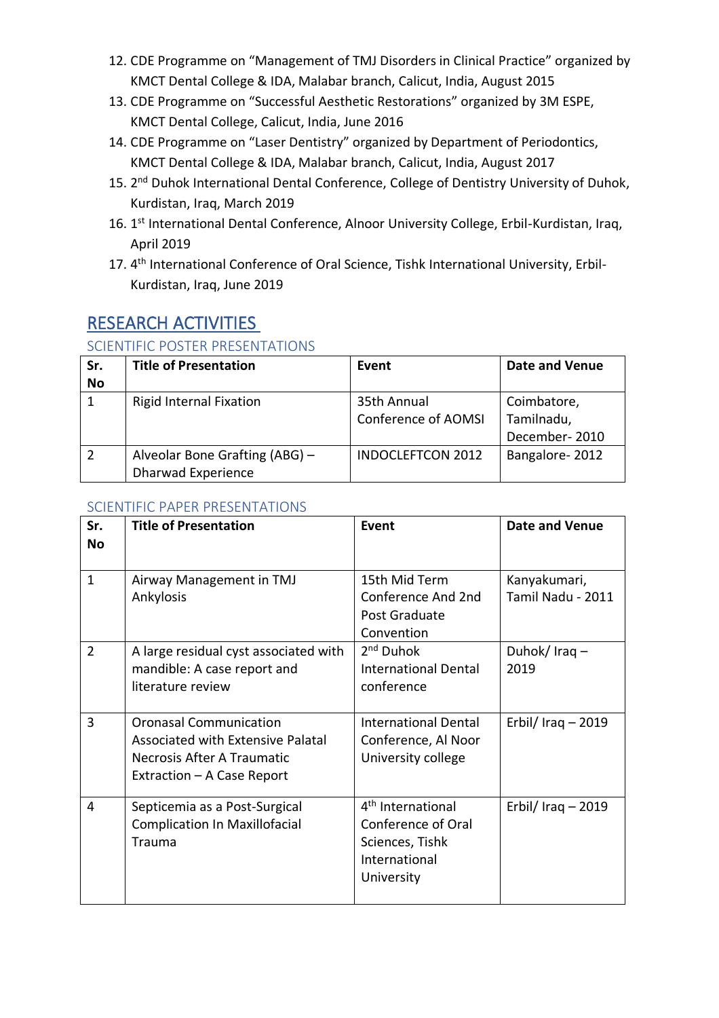- 12. CDE Programme on "Management of TMJ Disorders in Clinical Practice" organized by KMCT Dental College & IDA, Malabar branch, Calicut, India, August 2015
- 13. CDE Programme on "Successful Aesthetic Restorations" organized by 3M ESPE, KMCT Dental College, Calicut, India, June 2016
- 14. CDE Programme on "Laser Dentistry" organized by Department of Periodontics, KMCT Dental College & IDA, Malabar branch, Calicut, India, August 2017
- 15. 2<sup>nd</sup> Duhok International Dental Conference, College of Dentistry University of Duhok, Kurdistan, Iraq, March 2019
- 16. 1<sup>st</sup> International Dental Conference, Alnoor University College, Erbil-Kurdistan, Iraq, April 2019
- 17. 4<sup>th</sup> International Conference of Oral Science, Tishk International University, Erbil-Kurdistan, Iraq, June 2019

## RESEARCH ACTIVITIES

### SCIENTIFIC POSTER PRESENTATIONS

| Sr.       | <b>Title of Presentation</b>   | Event                      | <b>Date and Venue</b> |
|-----------|--------------------------------|----------------------------|-----------------------|
| <b>No</b> |                                |                            |                       |
|           | <b>Rigid Internal Fixation</b> | 35th Annual                | Coimbatore,           |
|           |                                | <b>Conference of AOMSI</b> | Tamilnadu,            |
|           |                                |                            | December-2010         |
| 2         | Alveolar Bone Grafting (ABG) - | <b>INDOCLEFTCON 2012</b>   | Bangalore-2012        |
|           | <b>Dharwad Experience</b>      |                            |                       |

#### SCIENTIFIC PAPER PRESENTATIONS

| Sr.<br><b>No</b> | <b>Title of Presentation</b>                                                                                            | Event                                                                                                 | Date and Venue                    |
|------------------|-------------------------------------------------------------------------------------------------------------------------|-------------------------------------------------------------------------------------------------------|-----------------------------------|
| $\mathbf{1}$     | Airway Management in TMJ<br>Ankylosis                                                                                   | 15th Mid Term<br>Conference And 2nd<br>Post Graduate<br>Convention                                    | Kanyakumari,<br>Tamil Nadu - 2011 |
| $\overline{2}$   | A large residual cyst associated with<br>mandible: A case report and<br>literature review                               | $2nd$ Duhok<br>International Dental<br>conference                                                     | Duhok/Iraq $-$<br>2019            |
| 3                | Oronasal Communication<br>Associated with Extensive Palatal<br>Necrosis After A Traumatic<br>Extraction - A Case Report | <b>International Dental</b><br>Conference, Al Noor<br>University college                              | Erbil/ Iraq $-2019$               |
| 4                | Septicemia as a Post-Surgical<br><b>Complication In Maxillofacial</b><br><b>Trauma</b>                                  | 4 <sup>th</sup> International<br>Conference of Oral<br>Sciences, Tishk<br>International<br>University | Erbil/ Iraq $-2019$               |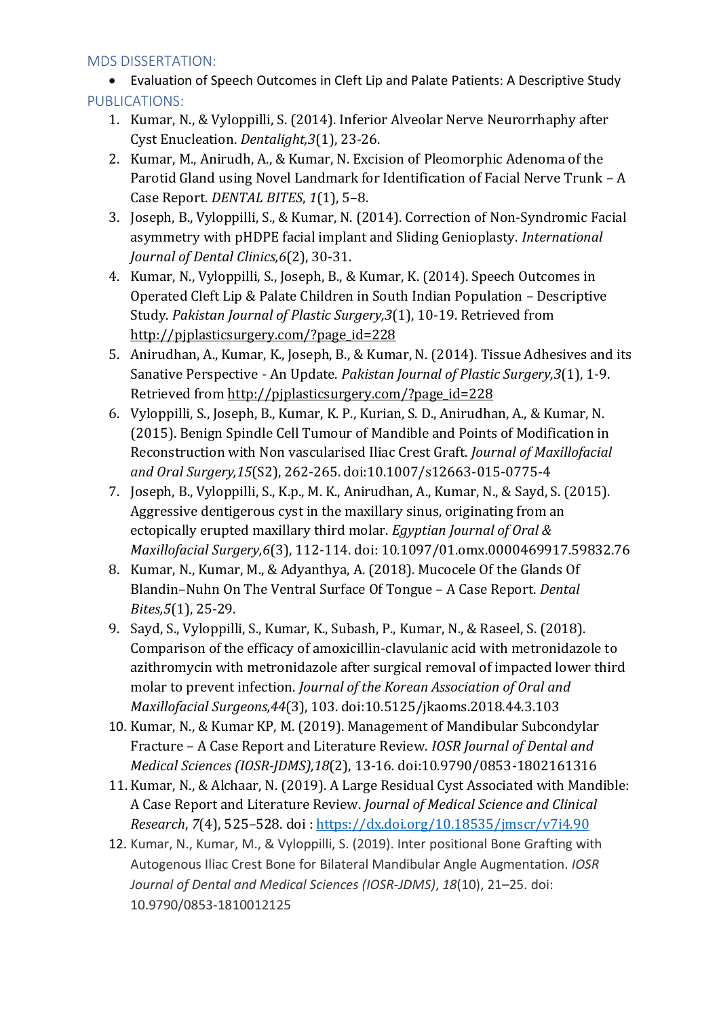MDS DISSERTATION:

• Evaluation of Speech Outcomes in Cleft Lip and Palate Patients: A Descriptive Study PUBLICATIONS:

- 1. Kumar, N., & Vyloppilli, S. (2014). Inferior Alveolar Nerve Neurorrhaphy after Cyst Enucleation. *Dentalight,3*(1), 23-26.
- 2. Kumar, M., Anirudh, A., & Kumar, N. Excision of Pleomorphic Adenoma of the Parotid Gland using Novel Landmark for Identification of Facial Nerve Trunk – A Case Report. *DENTAL BITES*, *1*(1), 5–8.
- 3. Joseph, B., Vyloppilli, S., & Kumar, N. (2014). Correction of Non-Syndromic Facial asymmetry with pHDPE facial implant and Sliding Genioplasty. *International Journal of Dental Clinics,6*(2), 30-31.
- 4. Kumar, N., Vyloppilli, S., Joseph, B., & Kumar, K. (2014). Speech Outcomes in Operated Cleft Lip & Palate Children in South Indian Population – Descriptive Study. *Pakistan Journal of Plastic Surgery,3*(1), 10-19. Retrieved from http://piplasticsurgery.com/?page\_id=228
- 5. Anirudhan, A., Kumar, K., Joseph, B., & Kumar, N. (2014). Tissue Adhesives and its Sanative Perspective - An Update. *Pakistan Journal of Plastic Surgery,3*(1), 1-9. Retrieved from [http://pjplasticsurgery.com/?page\\_id=228](http://pjplasticsurgery.com/?page_id=228)
- 6. Vyloppilli, S., Joseph, B., Kumar, K. P., Kurian, S. D., Anirudhan, A., & Kumar, N. (2015). Benign Spindle Cell Tumour of Mandible and Points of Modification in Reconstruction with Non vascularised Iliac Crest Graft. *Journal of Maxillofacial and Oral Surgery,15*(S2), 262-265. doi:10.1007/s12663-015-0775-4
- 7. Joseph, B., Vyloppilli, S., K.p., M. K., Anirudhan, A., Kumar, N., & Sayd, S. (2015). Aggressive dentigerous cyst in the maxillary sinus, originating from an ectopically erupted maxillary third molar. *Egyptian Journal of Oral & Maxillofacial Surgery,6*(3), 112-114. doi: 10.1097/01.omx.0000469917.59832.76
- 8. Kumar, N., Kumar, M., & Adyanthya, A. (2018). Mucocele Of the Glands Of Blandin–Nuhn On The Ventral Surface Of Tongue – A Case Report. *Dental Bites,5*(1), 25-29.
- 9. Sayd, S., Vyloppilli, S., Kumar, K., Subash, P., Kumar, N., & Raseel, S. (2018). Comparison of the efficacy of amoxicillin-clavulanic acid with metronidazole to azithromycin with metronidazole after surgical removal of impacted lower third molar to prevent infection. *Journal of the Korean Association of Oral and Maxillofacial Surgeons,44*(3), 103. doi:10.5125/jkaoms.2018.44.3.103
- 10. Kumar, N., & Kumar KP, M. (2019). Management of Mandibular Subcondylar Fracture – A Case Report and Literature Review. *IOSR Journal of Dental and Medical Sciences (IOSR-JDMS),18*(2), 13-16. doi:10.9790/0853-1802161316
- 11. Kumar, N., & Alchaar, N. (2019). A Large Residual Cyst Associated with Mandible: A Case Report and Literature Review. *Journal of Medical Science and Clinical Research*, *7*(4), 525–528. doi [: https://dx.doi.org/10.18535/jmscr/v7i4.90](https://dx.doi.org/10.18535/jmscr/v7i4.90)
- 12. Kumar, N., Kumar, M., & Vyloppilli, S. (2019). Inter positional Bone Grafting with Autogenous Iliac Crest Bone for Bilateral Mandibular Angle Augmentation. *IOSR Journal of Dental and Medical Sciences (IOSR-JDMS)*, *18*(10), 21–25. doi: 10.9790/0853-1810012125